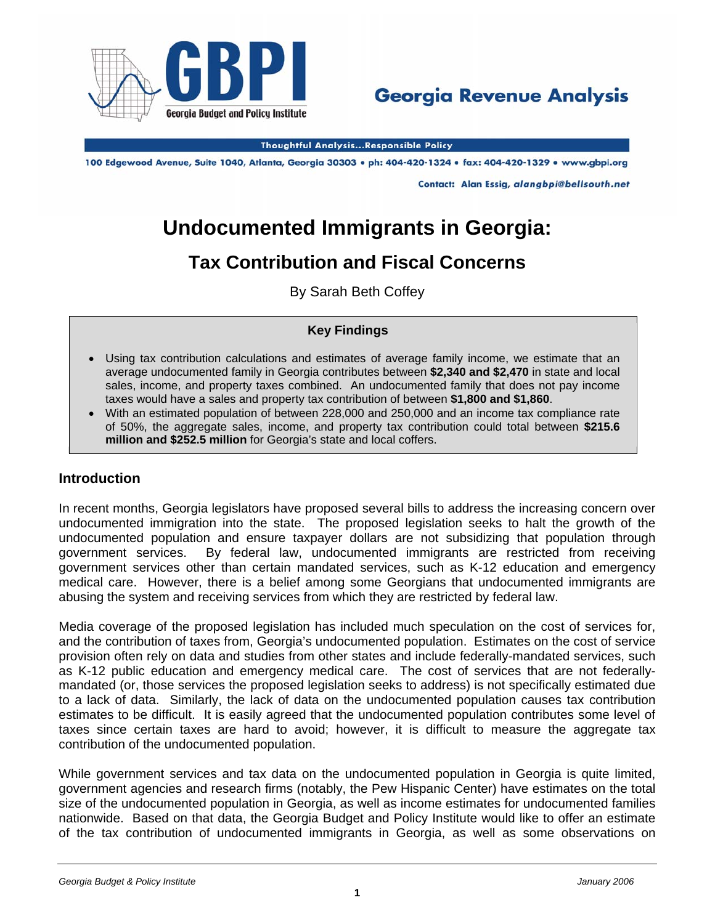



**Thoughtful Analysis...Responsible Policy** 

100 Edgewood Avenue, Suite 1040, Atlanta, Georgia 30303 · ph: 404-420-1324 · fax: 404-420-1329 · www.gbpi.org

Contact: Alan Essig, alangbpi@bellsouth.net

# **Undocumented Immigrants in Georgia:**

# **Tax Contribution and Fiscal Concerns**

By Sarah Beth Coffey

#### **Key Findings**

- Using tax contribution calculations and estimates of average family income, we estimate that an average undocumented family in Georgia contributes between **\$2,340 and \$2,470** in state and local sales, income, and property taxes combined.An undocumented family that does not pay income taxes would have a sales and property tax contribution of between **\$1,800 and \$1,860**.
- With an estimated population of between 228,000 and 250,000 and an income tax compliance rate of 50%, the aggregate sales, income, and property tax contribution could total between **\$215.6 million and \$252.5 million** for Georgia's state and local coffers.

### **Introduction**

In recent months, Georgia legislators have proposed several bills to address the increasing concern over undocumented immigration into the state. The proposed legislation seeks to halt the growth of the undocumented population and ensure taxpayer dollars are not subsidizing that population through government services. By federal law, undocumented immigrants are restricted from receiving government services other than certain mandated services, such as K-12 education and emergency medical care. However, there is a belief among some Georgians that undocumented immigrants are abusing the system and receiving services from which they are restricted by federal law.

Media coverage of the proposed legislation has included much speculation on the cost of services for, and the contribution of taxes from, Georgia's undocumented population. Estimates on the cost of service provision often rely on data and studies from other states and include federally-mandated services, such as K-12 public education and emergency medical care. The cost of services that are not federallymandated (or, those services the proposed legislation seeks to address) is not specifically estimated due to a lack of data. Similarly, the lack of data on the undocumented population causes tax contribution estimates to be difficult. It is easily agreed that the undocumented population contributes some level of taxes since certain taxes are hard to avoid; however, it is difficult to measure the aggregate tax contribution of the undocumented population.

While government services and tax data on the undocumented population in Georgia is quite limited, government agencies and research firms (notably, the Pew Hispanic Center) have estimates on the total size of the undocumented population in Georgia, as well as income estimates for undocumented families nationwide. Based on that data, the Georgia Budget and Policy Institute would like to offer an estimate of the tax contribution of undocumented immigrants in Georgia, as well as some observations on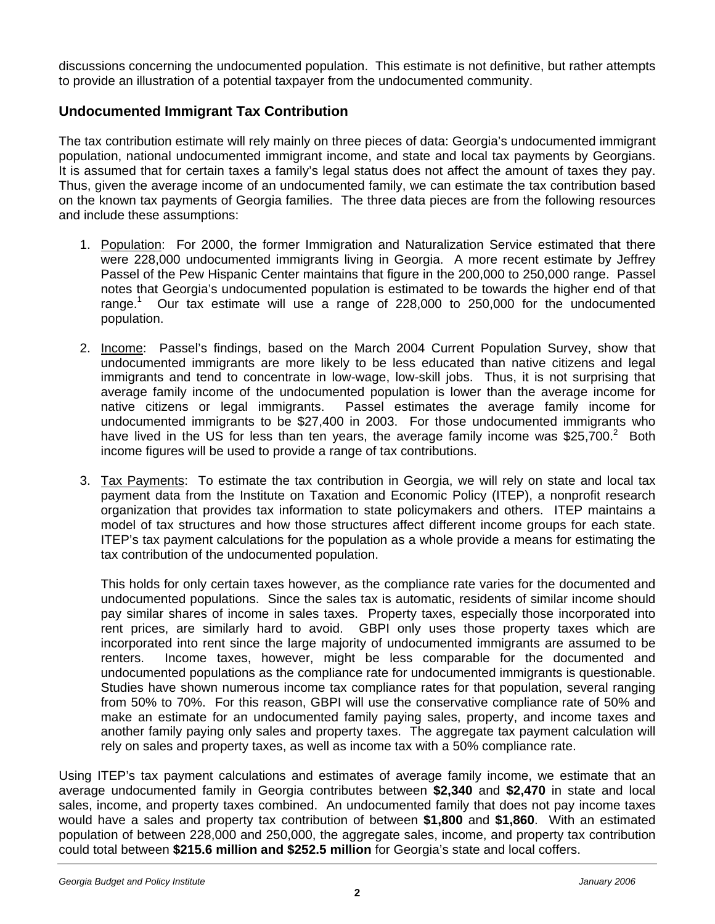discussions concerning the undocumented population. This estimate is not definitive, but rather attempts to provide an illustration of a potential taxpayer from the undocumented community.

## **Undocumented Immigrant Tax Contribution**

The tax contribution estimate will rely mainly on three pieces of data: Georgia's undocumented immigrant population, national undocumented immigrant income, and state and local tax payments by Georgians. It is assumed that for certain taxes a family's legal status does not affect the amount of taxes they pay. Thus, given the average income of an undocumented family, we can estimate the tax contribution based on the known tax payments of Georgia families. The three data pieces are from the following resources and include these assumptions:

- 1. Population: For 2000, the former Immigration and Naturalization Service estimated that there were 228,000 undocumented immigrants living in Georgia. A more recent estimate by Jeffrey Passel of the Pew Hispanic Center maintains that figure in the 200,000 to 250,000 range. Passel notes that Georgia's undocumented population is estimated to be towards the higher end of that range.<sup>1</sup> Our tax estimate will use a range of 228,000 to 250,000 for the undocumented population.
- 2. Income: Passel's findings, based on the March 2004 Current Population Survey, show that undocumented immigrants are more likely to be less educated than native citizens and legal immigrants and tend to concentrate in low-wage, low-skill jobs. Thus, it is not surprising that average family income of the undocumented population is lower than the average income for native citizens or legal immigrants. Passel estimates the average family income for undocumented immigrants to be \$27,400 in 2003. For those undocumented immigrants who have lived in the US for less than ten years, the average family income was \$25,700.<sup>2</sup> Both income figures will be used to provide a range of tax contributions.
- 3. Tax Payments: To estimate the tax contribution in Georgia, we will rely on state and local tax payment data from the Institute on Taxation and Economic Policy (ITEP), a nonprofit research organization that provides tax information to state policymakers and others. ITEP maintains a model of tax structures and how those structures affect different income groups for each state. ITEP's tax payment calculations for the population as a whole provide a means for estimating the tax contribution of the undocumented population.

This holds for only certain taxes however, as the compliance rate varies for the documented and undocumented populations. Since the sales tax is automatic, residents of similar income should pay similar shares of income in sales taxes. Property taxes, especially those incorporated into rent prices, are similarly hard to avoid. GBPI only uses those property taxes which are incorporated into rent since the large majority of undocumented immigrants are assumed to be renters. Income taxes, however, might be less comparable for the documented and undocumented populations as the compliance rate for undocumented immigrants is questionable. Studies have shown numerous income tax compliance rates for that population, several ranging from 50% to 70%. For this reason, GBPI will use the conservative compliance rate of 50% and make an estimate for an undocumented family paying sales, property, and income taxes and another family paying only sales and property taxes. The aggregate tax payment calculation will rely on sales and property taxes, as well as income tax with a 50% compliance rate.

Using ITEP's tax payment calculations and estimates of average family income, we estimate that an average undocumented family in Georgia contributes between **\$2,340** and **\$2,470** in state and local sales, income, and property taxes combined. An undocumented family that does not pay income taxes would have a sales and property tax contribution of between **\$1,800** and **\$1,860**. With an estimated population of between 228,000 and 250,000, the aggregate sales, income, and property tax contribution could total between **\$215.6 million and \$252.5 million** for Georgia's state and local coffers.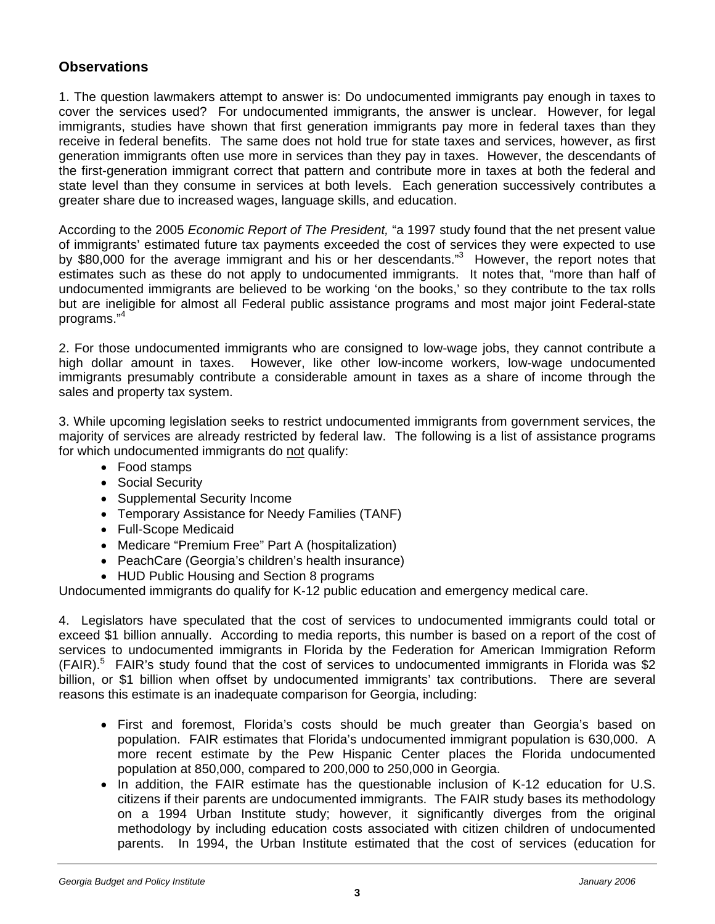### **Observations**

1. The question lawmakers attempt to answer is: Do undocumented immigrants pay enough in taxes to cover the services used? For undocumented immigrants, the answer is unclear. However, for legal immigrants, studies have shown that first generation immigrants pay more in federal taxes than they receive in federal benefits. The same does not hold true for state taxes and services, however, as first generation immigrants often use more in services than they pay in taxes. However, the descendants of the first-generation immigrant correct that pattern and contribute more in taxes at both the federal and state level than they consume in services at both levels. Each generation successively contributes a greater share due to increased wages, language skills, and education.

According to the 2005 *Economic Report of The President,* "a 1997 study found that the net present value of immigrants' estimated future tax payments exceeded the cost of services they were expected to use by \$80,000 for the average immigrant and his or her descendants."<sup>3</sup> However, the report notes that estimates such as these do not apply to undocumented immigrants. It notes that, "more than half of undocumented immigrants are believed to be working 'on the books,' so they contribute to the tax rolls but are ineligible for almost all Federal public assistance programs and most major joint Federal-state programs."<sup>4</sup>

2. For those undocumented immigrants who are consigned to low-wage jobs, they cannot contribute a high dollar amount in taxes. However, like other low-income workers, low-wage undocumented immigrants presumably contribute a considerable amount in taxes as a share of income through the sales and property tax system.

3. While upcoming legislation seeks to restrict undocumented immigrants from government services, the majority of services are already restricted by federal law. The following is a list of assistance programs for which undocumented immigrants do not qualify:

- Food stamps
- Social Security
- Supplemental Security Income
- Temporary Assistance for Needy Families (TANF)
- Full-Scope Medicaid
- Medicare "Premium Free" Part A (hospitalization)
- PeachCare (Georgia's children's health insurance)
- HUD Public Housing and Section 8 programs

Undocumented immigrants do qualify for K-12 public education and emergency medical care.

4. Legislators have speculated that the cost of services to undocumented immigrants could total or exceed \$1 billion annually. According to media reports, this number is based on a report of the cost of services to undocumented immigrants in Florida by the Federation for American Immigration Reform (FAIR).<sup>5</sup> FAIR's study found that the cost of services to undocumented immigrants in Florida was \$2 billion, or \$1 billion when offset by undocumented immigrants' tax contributions. There are several reasons this estimate is an inadequate comparison for Georgia, including:

- First and foremost, Florida's costs should be much greater than Georgia's based on population. FAIR estimates that Florida's undocumented immigrant population is 630,000. A more recent estimate by the Pew Hispanic Center places the Florida undocumented population at 850,000, compared to 200,000 to 250,000 in Georgia.
- In addition, the FAIR estimate has the questionable inclusion of K-12 education for U.S. citizens if their parents are undocumented immigrants. The FAIR study bases its methodology on a 1994 Urban Institute study; however, it significantly diverges from the original methodology by including education costs associated with citizen children of undocumented parents. In 1994, the Urban Institute estimated that the cost of services (education for